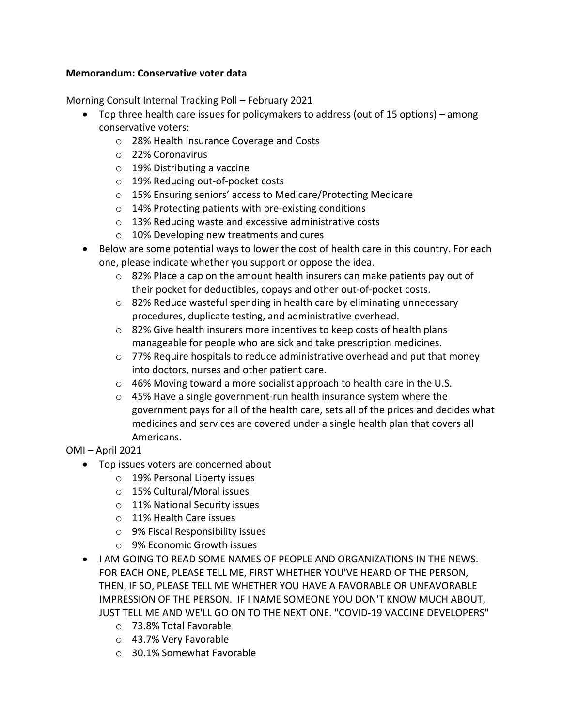## **Memorandum: Conservative voter data**

Morning Consult Internal Tracking Poll – February 2021

- Top three health care issues for policymakers to address (out of 15 options) among conservative voters:
	- o 28% Health Insurance Coverage and Costs
	- o 22% Coronavirus
	- o 19% Distributing a vaccine
	- o 19% Reducing out-of-pocket costs
	- o 15% Ensuring seniors' access to Medicare/Protecting Medicare
	- o 14% Protecting patients with pre-existing conditions
	- o 13% Reducing waste and excessive administrative costs
	- o 10% Developing new treatments and cures
- Below are some potential ways to lower the cost of health care in this country. For each one, please indicate whether you support or oppose the idea.
	- $\circ$  82% Place a cap on the amount health insurers can make patients pay out of their pocket for deductibles, copays and other out-of-pocket costs.
	- o 82% Reduce wasteful spending in health care by eliminating unnecessary procedures, duplicate testing, and administrative overhead.
	- o 82% Give health insurers more incentives to keep costs of health plans manageable for people who are sick and take prescription medicines.
	- o 77% Require hospitals to reduce administrative overhead and put that money into doctors, nurses and other patient care.
	- o 46% Moving toward a more socialist approach to health care in the U.S.
	- o 45% Have a single government-run health insurance system where the government pays for all of the health care, sets all of the prices and decides what medicines and services are covered under a single health plan that covers all Americans.

## OMI – April 2021

- Top issues voters are concerned about
	- o 19% Personal Liberty issues
	- o 15% Cultural/Moral issues
	- o 11% National Security issues
	- o 11% Health Care issues
	- o 9% Fiscal Responsibility issues
	- o 9% Economic Growth issues
- I AM GOING TO READ SOME NAMES OF PEOPLE AND ORGANIZATIONS IN THE NEWS. FOR EACH ONE, PLEASE TELL ME, FIRST WHETHER YOU'VE HEARD OF THE PERSON, THEN, IF SO, PLEASE TELL ME WHETHER YOU HAVE A FAVORABLE OR UNFAVORABLE IMPRESSION OF THE PERSON. IF I NAME SOMEONE YOU DON'T KNOW MUCH ABOUT, JUST TELL ME AND WE'LL GO ON TO THE NEXT ONE. "COVID-19 VACCINE DEVELOPERS"
	- o 73.8% Total Favorable
	- o 43.7% Very Favorable
	- o 30.1% Somewhat Favorable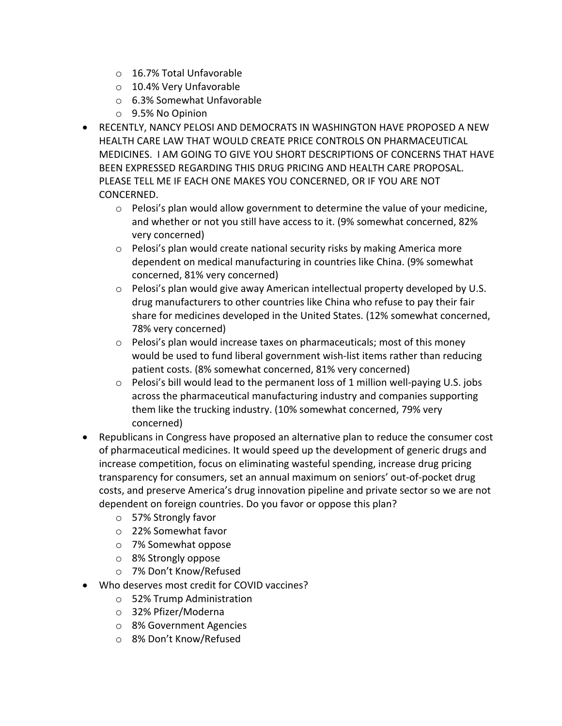- o 16.7% Total Unfavorable
- o 10.4% Very Unfavorable
- o 6.3% Somewhat Unfavorable
- o 9.5% No Opinion
- RECENTLY, NANCY PELOSI AND DEMOCRATS IN WASHINGTON HAVE PROPOSED A NEW HEALTH CARE LAW THAT WOULD CREATE PRICE CONTROLS ON PHARMACEUTICAL MEDICINES. I AM GOING TO GIVE YOU SHORT DESCRIPTIONS OF CONCERNS THAT HAVE BEEN EXPRESSED REGARDING THIS DRUG PRICING AND HEALTH CARE PROPOSAL. PLEASE TELL ME IF EACH ONE MAKES YOU CONCERNED, OR IF YOU ARE NOT CONCERNED.
	- $\circ$  Pelosi's plan would allow government to determine the value of your medicine, and whether or not you still have access to it. (9% somewhat concerned, 82% very concerned)
	- $\circ$  Pelosi's plan would create national security risks by making America more dependent on medical manufacturing in countries like China. (9% somewhat concerned, 81% very concerned)
	- $\circ$  Pelosi's plan would give away American intellectual property developed by U.S. drug manufacturers to other countries like China who refuse to pay their fair share for medicines developed in the United States. (12% somewhat concerned, 78% very concerned)
	- o Pelosi's plan would increase taxes on pharmaceuticals; most of this money would be used to fund liberal government wish-list items rather than reducing patient costs. (8% somewhat concerned, 81% very concerned)
	- o Pelosi's bill would lead to the permanent loss of 1 million well-paying U.S. jobs across the pharmaceutical manufacturing industry and companies supporting them like the trucking industry. (10% somewhat concerned, 79% very concerned)
- Republicans in Congress have proposed an alternative plan to reduce the consumer cost of pharmaceutical medicines. It would speed up the development of generic drugs and increase competition, focus on eliminating wasteful spending, increase drug pricing transparency for consumers, set an annual maximum on seniors' out-of-pocket drug costs, and preserve America's drug innovation pipeline and private sector so we are not dependent on foreign countries. Do you favor or oppose this plan?
	- o 57% Strongly favor
	- o 22% Somewhat favor
	- o 7% Somewhat oppose
	- o 8% Strongly oppose
	- o 7% Don't Know/Refused
- Who deserves most credit for COVID vaccines?
	- o 52% Trump Administration
	- o 32% Pfizer/Moderna
	- o 8% Government Agencies
	- o 8% Don't Know/Refused